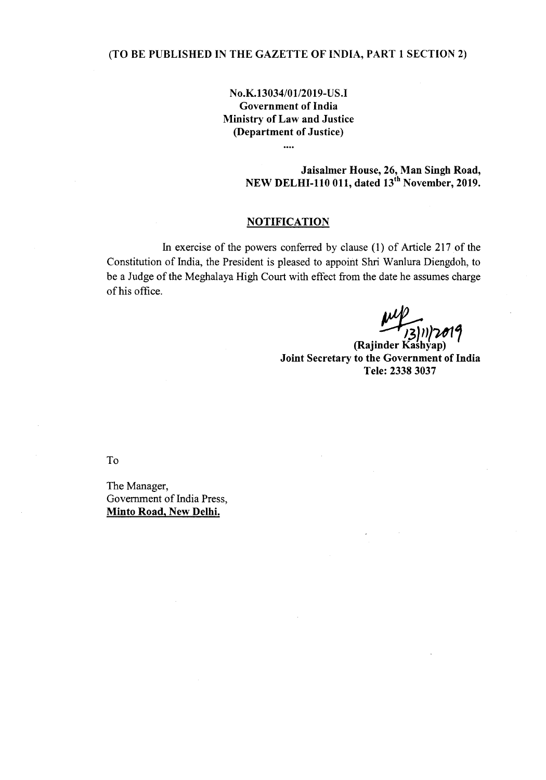## (TO BE PUBLISHED IN THE GAZETTE OF INDIA, PART 1 SECTION 2)

## No.K.13034/01/2019-US.I Government of India Ministry of Law and Justice (Department of Justice)

....

Jaisalmer House, 26, Man Singh Road, NEW DELHI-110 011, dated 13" November, 2019.

## **NOTIFICATION**

In exercise of the powers conferred by clause (l) of Article 217 of the Constitution of India, the President is pleased to appoint Shri Wanlura Diengdoh, to be a Judge of the Meghalaya High Court with effect from the date he assumes charge of his office.

*~)1U11* (Rajinder Kashyap) Joint Secretary to the Government of India Tele: 2338 3037

To

The Manager, Government of India Press, Minto Road, New Delhi.